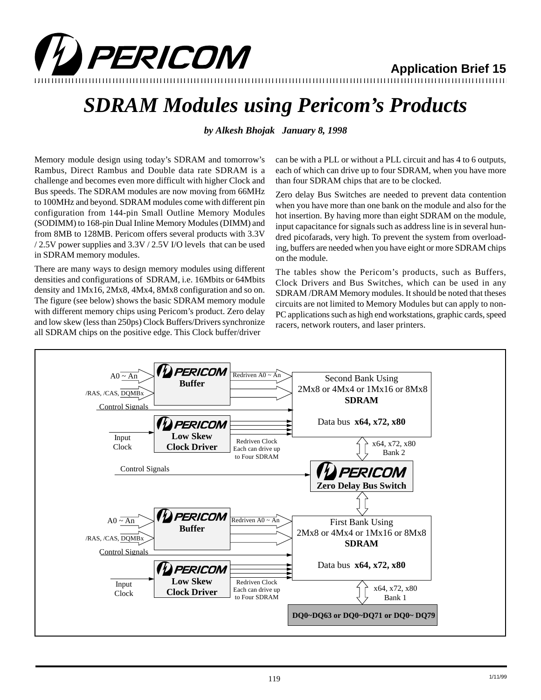

## **Application Brief 15**

12345678901234567890123456789012123456789012345678901234567890121234567890123456789012345678901212345678901234567890123456789012123456789012 12345678901234567890123456789012123456789012345678901234567890121234567890123456789012345678901212345678901234567890123456789012123456789012

## *SDRAM Modules using Pericom's Products*

*by Alkesh Bhojak January 8, 1998*

Memory module design using today's SDRAM and tomorrow's Rambus, Direct Rambus and Double data rate SDRAM is a challenge and becomes even more difficult with higher Clock and Bus speeds. The SDRAM modules are now moving from 66MHz to 100MHz and beyond. SDRAM modules come with different pin configuration from 144-pin Small Outline Memory Modules (SODIMM) to 168-pin Dual Inline Memory Modules (DIMM) and from 8MB to 128MB. Pericom offers several products with 3.3V / 2.5V power supplies and 3.3V / 2.5V I/O levels that can be used in SDRAM memory modules.

There are many ways to design memory modules using different densities and configurations of SDRAM, i.e. 16Mbits or 64Mbits density and 1Mx16, 2Mx8, 4Mx4, 8Mx8 configuration and so on. The figure (see below) shows the basic SDRAM memory module with different memory chips using Pericom's product. Zero delay and low skew (less than 250ps) Clock Buffers/Drivers synchronize all SDRAM chips on the positive edge. This Clock buffer/driver

can be with a PLL or without a PLL circuit and has 4 to 6 outputs, each of which can drive up to four SDRAM, when you have more than four SDRAM chips that are to be clocked.

Zero delay Bus Switches are needed to prevent data contention when you have more than one bank on the module and also for the hot insertion. By having more than eight SDRAM on the module, input capacitance for signals such as address line is in several hundred picofarads, very high. To prevent the system from overloading, buffers are needed when you have eight or more SDRAM chips on the module.

The tables show the Pericom's products, such as Buffers, Clock Drivers and Bus Switches, which can be used in any SDRAM /DRAM Memory modules. It should be noted that theses circuits are not limited to Memory Modules but can apply to non-PC applications such as high end workstations, graphic cards, speed racers, network routers, and laser printers.